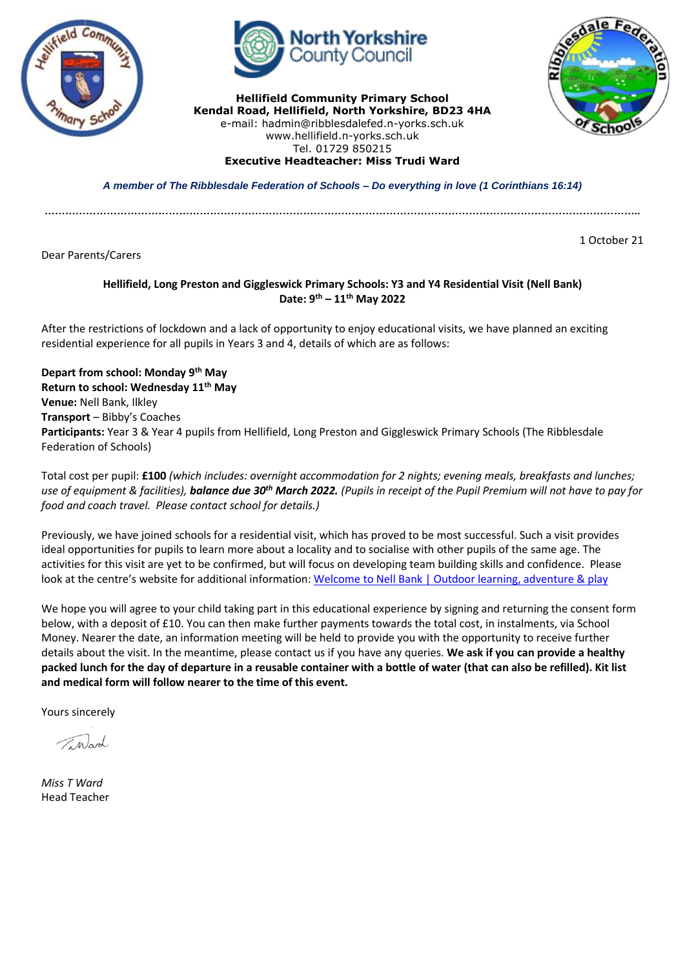



**Hellifield Community Primary School Kendal Road, Hellifield, North Yorkshire, BD23 4HA** e-mail: hadmin@ribblesdalefed.n-yorks.sch.uk www.hellifield.n-yorks.sch.uk Tel. 01729 850215 **Executive Headteacher: Miss Trudi Ward**



*A member of The Ribblesdale Federation of Schools – Do everything in love (1 Corinthians 16:14)*

*………………………………………………………………………………………………………………………………………………………..*

Dear Parents/Carers

1 October 21

## **Hellifield, Long Preston and Giggleswick Primary Schools: Y3 and Y4 Residential Visit (Nell Bank) Date: 9 th – 11th May 2022**

After the restrictions of lockdown and a lack of opportunity to enjoy educational visits, we have planned an exciting residential experience for all pupils in Years 3 and 4, details of which are as follows:

**Depart from school: Monday 9th May Return to school: Wednesday 11th May Venue:** Nell Bank, Ilkley **Transport** – Bibby's Coaches **Participants:** Year 3 & Year 4 pupils from Hellifield, Long Preston and Giggleswick Primary Schools (The Ribblesdale Federation of Schools)

Total cost per pupil: **£100** *(which includes: overnight accommodation for 2 nights; evening meals, breakfasts and lunches; use of equipment & facilities), balance due 30th March 2022. (Pupils in receipt of the Pupil Premium will not have to pay for food and coach travel. Please contact school for details.)*

Previously, we have joined schools for a residential visit, which has proved to be most successful. Such a visit provides ideal opportunities for pupils to learn more about a locality and to socialise with other pupils of the same age. The activities for this visit are yet to be confirmed, but will focus on developing team building skills and confidence. Please look at the centre's website for additional information[: Welcome to Nell Bank | Outdoor learning, adventure & play](https://www.nellbank.org/)

We hope you will agree to your child taking part in this educational experience by signing and returning the consent form below, with a deposit of £10. You can then make further payments towards the total cost, in instalments, via School Money. Nearer the date, an information meeting will be held to provide you with the opportunity to receive further details about the visit. In the meantime, please contact us if you have any queries. **We ask if you can provide a healthy packed lunch for the day of departure in a reusable container with a bottle of water (that can also be refilled). Kit list and medical form will follow nearer to the time of this event.**

Yours sincerely

 $\sqrt{10}$ od

*Miss T Ward* Head Teacher